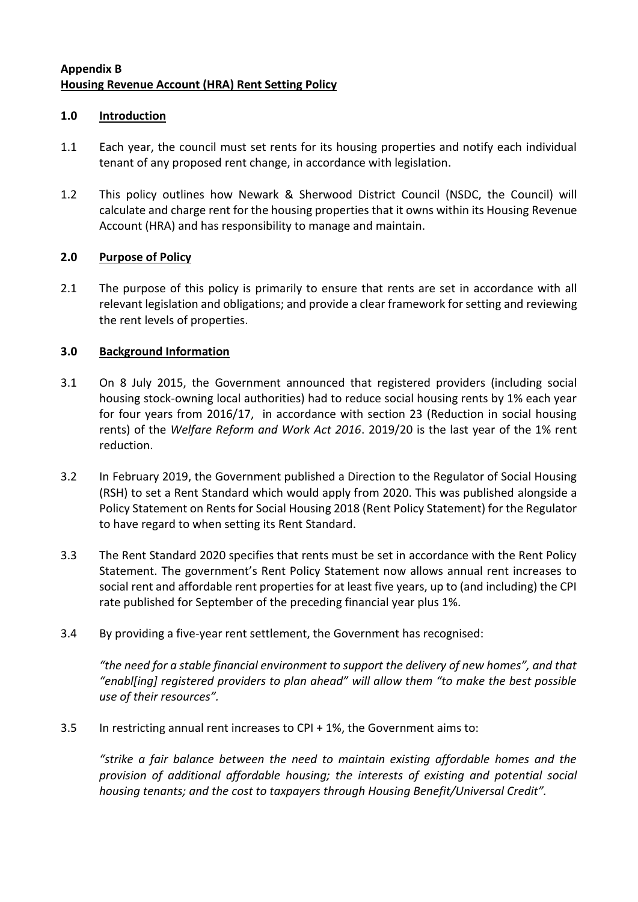# **Appendix B Housing Revenue Account (HRA) Rent Setting Policy**

### **1.0 Introduction**

- 1.1 Each year, the council must set rents for its housing properties and notify each individual tenant of any proposed rent change, in accordance with legislation.
- 1.2 This policy outlines how Newark & Sherwood District Council (NSDC, the Council) will calculate and charge rent for the housing properties that it owns within its Housing Revenue Account (HRA) and has responsibility to manage and maintain.

# **2.0 Purpose of Policy**

2.1 The purpose of this policy is primarily to ensure that rents are set in accordance with all relevant legislation and obligations; and provide a clear framework for setting and reviewing the rent levels of properties.

### **3.0 Background Information**

- 3.1 On 8 July 2015, the Government announced that registered providers (including social housing stock-owning local authorities) had to reduce social housing rents by 1% each year for four years from 2016/17, in accordance with section 23 (Reduction in social housing rents) of the *Welfare Reform and Work Act 2016*. 2019/20 is the last year of the 1% rent reduction.
- 3.2 In February 2019, the Government published a Direction to the Regulator of Social Housing (RSH) to set a Rent Standard which would apply from 2020. This was published alongside a Policy Statement on Rents for Social Housing 2018 (Rent Policy Statement) for the Regulator to have regard to when setting its Rent Standard.
- 3.3 The Rent Standard 2020 specifies that rents must be set in accordance with the Rent Policy Statement. The government's Rent Policy Statement now allows annual rent increases to social rent and affordable rent properties for at least five years, up to (and including) the CPI rate published for September of the preceding financial year plus 1%.
- 3.4 By providing a five-year rent settlement, the Government has recognised:

*"the need for a stable financial environment to support the delivery of new homes", and that "enabl[ing] registered providers to plan ahead" will allow them "to make the best possible use of their resources".*

3.5 In restricting annual rent increases to CPI + 1%, the Government aims to:

*"strike a fair balance between the need to maintain existing affordable homes and the provision of additional affordable housing; the interests of existing and potential social housing tenants; and the cost to taxpayers through Housing Benefit/Universal Credit".*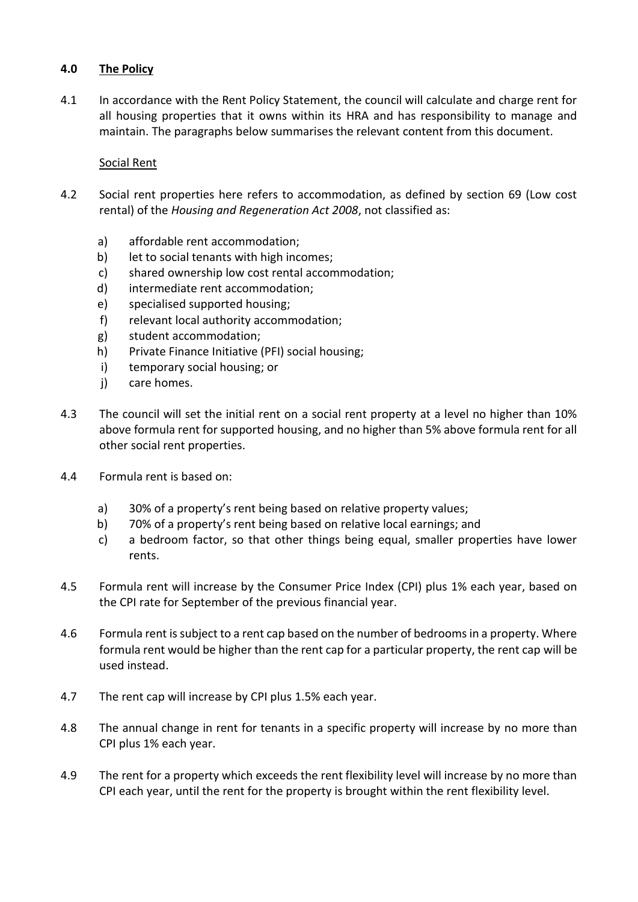### **4.0 The Policy**

4.1 In accordance with the Rent Policy Statement, the council will calculate and charge rent for all housing properties that it owns within its HRA and has responsibility to manage and maintain. The paragraphs below summarises the relevant content from this document.

### Social Rent

- 4.2 Social rent properties here refers to accommodation, as defined by section 69 (Low cost rental) of the *Housing and Regeneration Act 2008*, not classified as:
	- a) affordable rent accommodation;
	- b) let to social tenants with high incomes:
	- c) shared ownership low cost rental accommodation;
	- d) intermediate rent accommodation;
	- e) specialised supported housing;
	- f) relevant local authority accommodation;
	- g) student accommodation;
	- h) Private Finance Initiative (PFI) social housing;
	- i) temporary social housing; or
	- j) care homes.
- 4.3 The council will set the initial rent on a social rent property at a level no higher than 10% above formula rent for supported housing, and no higher than 5% above formula rent for all other social rent properties.
- 4.4 Formula rent is based on:
	- a) 30% of a property's rent being based on relative property values;
	- b) 70% of a property's rent being based on relative local earnings; and
	- c) a bedroom factor, so that other things being equal, smaller properties have lower rents.
- 4.5 Formula rent will increase by the Consumer Price Index (CPI) plus 1% each year, based on the CPI rate for September of the previous financial year.
- 4.6 Formula rent is subject to a rent cap based on the number of bedrooms in a property. Where formula rent would be higher than the rent cap for a particular property, the rent cap will be used instead.
- 4.7 The rent cap will increase by CPI plus 1.5% each year.
- 4.8 The annual change in rent for tenants in a specific property will increase by no more than CPI plus 1% each year.
- 4.9 The rent for a property which exceeds the rent flexibility level will increase by no more than CPI each year, until the rent for the property is brought within the rent flexibility level.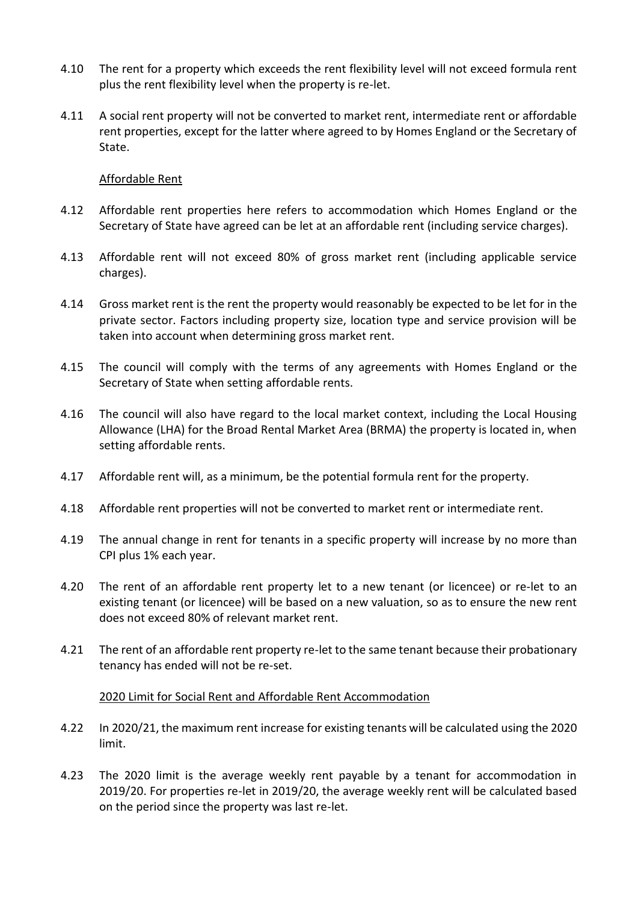- 4.10 The rent for a property which exceeds the rent flexibility level will not exceed formula rent plus the rent flexibility level when the property is re-let.
- 4.11 A social rent property will not be converted to market rent, intermediate rent or affordable rent properties, except for the latter where agreed to by Homes England or the Secretary of State.

### Affordable Rent

- 4.12 Affordable rent properties here refers to accommodation which Homes England or the Secretary of State have agreed can be let at an affordable rent (including service charges).
- 4.13 Affordable rent will not exceed 80% of gross market rent (including applicable service charges).
- 4.14 Gross market rent is the rent the property would reasonably be expected to be let for in the private sector. Factors including property size, location type and service provision will be taken into account when determining gross market rent.
- 4.15 The council will comply with the terms of any agreements with Homes England or the Secretary of State when setting affordable rents.
- 4.16 The council will also have regard to the local market context, including the Local Housing Allowance (LHA) for the Broad Rental Market Area (BRMA) the property is located in, when setting affordable rents.
- 4.17 Affordable rent will, as a minimum, be the potential formula rent for the property.
- 4.18 Affordable rent properties will not be converted to market rent or intermediate rent.
- 4.19 The annual change in rent for tenants in a specific property will increase by no more than CPI plus 1% each year.
- 4.20 The rent of an affordable rent property let to a new tenant (or licencee) or re-let to an existing tenant (or licencee) will be based on a new valuation, so as to ensure the new rent does not exceed 80% of relevant market rent.
- 4.21 The rent of an affordable rent property re-let to the same tenant because their probationary tenancy has ended will not be re-set.

### 2020 Limit for Social Rent and Affordable Rent Accommodation

- 4.22 In 2020/21, the maximum rent increase for existing tenants will be calculated using the 2020 limit.
- 4.23 The 2020 limit is the average weekly rent payable by a tenant for accommodation in 2019/20. For properties re-let in 2019/20, the average weekly rent will be calculated based on the period since the property was last re-let.